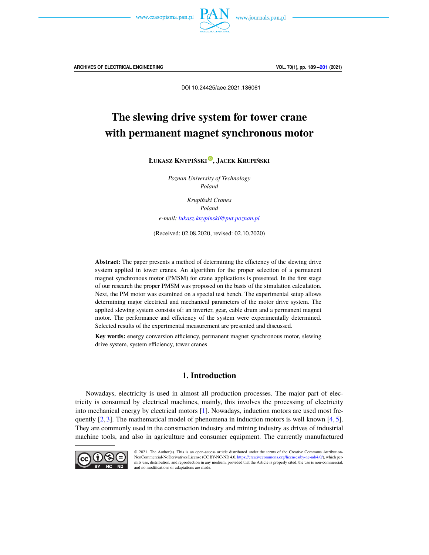

DOI 10.24425/aee.2021.136061

# The slewing drive system for tower crane with permanent magnet synchronous motor

**ŁUKASZ KNYPIŃSKI**[o](https://orcid.org/0000-0001-5741-9548) **, JACEK KRUPIŃSKI**

*Poznan University of Technology Poland*

> *Krupiński Cranes Poland*

*e-mail: [lukasz.knypinski@put.poznan.pl](mailto:lukasz.knypinski@put.poznan.pl)*

(Received: 02.08.2020, revised: 02.10.2020)

**Abstract:** The paper presents a method of determining the efficiency of the slewing drive system applied in tower cranes. An algorithm for the proper selection of a permanent magnet synchronous motor (PMSM) for crane applications is presented. In the first stage of our research the proper PMSM was proposed on the basis of the simulation calculation. Next, the PM motor was examined on a special test bench. The experimental setup allows determining major electrical and mechanical parameters of the motor drive system. The applied slewing system consists of: an inverter, gear, cable drum and a permanent magnet motor. The performance and efficiency of the system were experimentally determined. Selected results of the experimental measurement are presented and discussed.

**Key words:** energy conversion efficiency, permanent magnet synchronous motor, slewing drive system, system efficiency, tower cranes

# **1. Introduction**

Nowadays, electricity is used in almost all production processes. The major part of electricity is consumed by electrical machines, mainly, this involves the processing of electricity into mechanical energy by electrical motors [\[1\]](#page-10-1). Nowadays, induction motors are used most frequently  $[2, 3]$  $[2, 3]$  $[2, 3]$ . The mathematical model of phenomena in induction motors is well known  $[4, 5]$  $[4, 5]$  $[4, 5]$ . They are commonly used in the construction industry and mining industry as drives of industrial machine tools, and also in agriculture and consumer equipment. The currently manufactured



© 2021. The Author(s). This is an open-access article distributed under the terms of the Creative Commons Attribution-NonCommercial-NoDerivatives License (CC BY-NC-ND 4.0, [https://creativecommons.org/licenses/by-nc-nd/4.0/\)](https://creativecommons.org/licenses/by-nc-nd/4.0/), which permits use, distribution, and reproduction in any medium, provided that the Article is properly cited, the use is non-commercial, and no modifications or adaptations are made.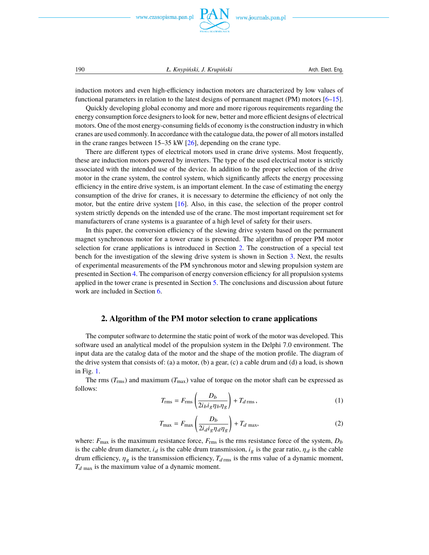

190 *Ł. Knypiński, J. Krupiński* Arch. Elect. Eng.

induction motors and even high-efficiency induction motors are characterized by low values of functional parameters in relation to the latest designs of permanent magnet (PM) motors [\[6](#page-11-4)[–15\]](#page-11-5).

Quickly developing global economy and more and more rigorous requirements regarding the energy consumption force designers to look for new, better and more efficient designs of electrical motors. One of the most energy-consuming fields of economy is the construction industry in which cranes are used commonly. In accordance with the catalogue data, the power of all motors installed in the crane ranges between 15–35 kW [\[26\]](#page-12-0), depending on the crane type.

There are different types of electrical motors used in crane drive systems. Most frequently, these are induction motors powered by inverters. The type of the used electrical motor is strictly associated with the intended use of the device. In addition to the proper selection of the drive motor in the crane system, the control system, which significantly affects the energy processing efficiency in the entire drive system, is an important element. In the case of estimating the energy consumption of the drive for cranes, it is necessary to determine the efficiency of not only the motor, but the entire drive system [\[16\]](#page-11-6). Also, in this case, the selection of the proper control system strictly depends on the intended use of the crane. The most important requirement set for manufacturers of crane systems is a guarantee of a high level of safety for their users.

In this paper, the conversion efficiency of the slewing drive system based on the permanent magnet synchronous motor for a tower crane is presented. The algorithm of proper PM motor selection for crane applications is introduced in Section [2.](#page-1-0) The construction of a special test bench for the investigation of the slewing drive system is shown in Section [3.](#page-5-0) Next, the results of experimental measurements of the PM synchronous motor and slewing propulsion system are presented in Section [4.](#page-6-0) The comparison of energy conversion efficiency for all propulsion systems applied in the tower crane is presented in Section [5.](#page-9-0) The conclusions and discussion about future work are included in Section [6.](#page-10-2)

# **2. Algorithm of the PM motor selection to crane applications**

<span id="page-1-0"></span>The computer software to determine the static point of work of the motor was developed. This software used an analytical model of the propulsion system in the Delphi 7.0 environment. The input data are the catalog data of the motor and the shape of the motion profile. The diagram of the drive system that consists of: (a) a motor, (b) a gear, (c) a cable drum and (d) a load, is shown in Fig. [1.](#page-2-0)

The rms  $(T_{\text{rms}})$  and maximum  $(T_{\text{max}})$  value of torque on the motor shaft can be expressed as follows:

$$
T_{\rm rms} = F_{\rm rms} \left( \frac{D_b}{2 i_b i_g \eta_b \eta_g} \right) + T_{d \, \rm rms} \,, \tag{1}
$$

<span id="page-1-1"></span>
$$
T_{\text{max}} = F_{\text{max}} \left( \frac{D_b}{2i_d i_g \eta_d \eta_g} \right) + T_d \text{ max},\tag{2}
$$

where:  $F_{\text{max}}$  is the maximum resistance force,  $F_{\text{rms}}$  is the rms resistance force of the system,  $D_b$ is the cable drum diameter,  $i_d$  is the cable drum transmission,  $i_g$  is the gear ratio,  $\eta_d$  is the cable drum efficiency,  $\eta_g$  is the transmission efficiency,  $T_{d\text{rms}}$  is the rms value of a dynamic moment,  $T_{d \text{max}}$  is the maximum value of a dynamic moment.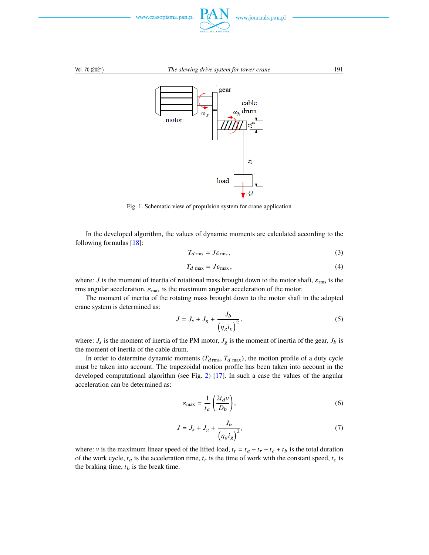

<span id="page-2-0"></span>

Fig. 1. Schematic view of propulsion system for crane application

In the developed algorithm, the values of dynamic moments are calculated according to the following formulas [\[18\]](#page-11-7):

$$
T_{d\,\rm rms} = J \varepsilon_{\rm rms},\tag{3}
$$

$$
T_{d \max} = J \varepsilon_{\max},\tag{4}
$$

where: *J* is the moment of inertia of rotational mass brought down to the motor shaft,  $\varepsilon_{\text{rms}}$  is the rms angular acceleration,  $\varepsilon_{\text{max}}$  is the maximum angular acceleration of the motor.

The moment of inertia of the rotating mass brought down to the motor shaft in the adopted crane system is determined as:

$$
J = J_s + J_g + \frac{J_b}{\left(\eta_g i_g\right)^2},\tag{5}
$$

where:  $J_s$  is the moment of inertia of the PM motor,  $J_g$  is the moment of inertia of the gear,  $J_b$  is the moment of inertia of the cable drum.

In order to determine dynamic moments  $(T_{d \text{ rms}}, T_{d \text{ max}})$ , the motion profile of a duty cycle must be taken into account. The trapezoidal motion profile has been taken into account in the developed computational algorithm (see Fig. [2\)](#page-3-0) [\[17\]](#page-11-8). In such a case the values of the angular acceleration can be determined as:

$$
\varepsilon_{\text{max}} = \frac{1}{t_a} \left( \frac{2i_d v}{D_b} \right),\tag{6}
$$

$$
J = J_s + J_g + \frac{J_b}{\left(\eta_g i_g\right)^2},\tag{7}
$$

where: *v* is the maximum linear speed of the lifted load,  $t_t = t_a + t_r + t_c + t_b$  is the total duration of the work cycle,  $t_a$  is the acceleration time,  $t_r$  is the time of work with the constant speed,  $t_c$  is the braking time,  $t_b$  is the break time.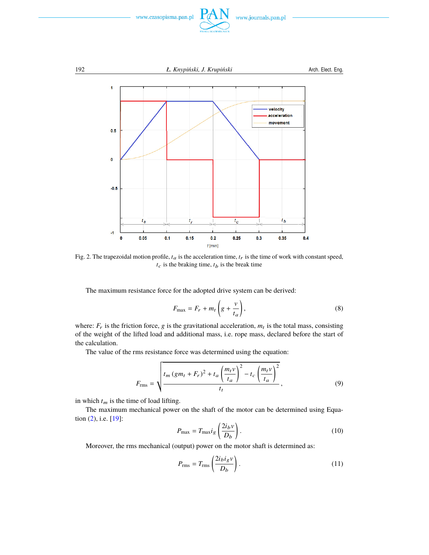

<span id="page-3-0"></span>

Fig. 2. The trapezoidal motion profile,  $t_a$  is the acceleration time,  $t_r$  is the time of work with constant speed,  $t_c$  is the braking time,  $t_b$  is the break time

The maximum resistance force for the adopted drive system can be derived:

$$
F_{\text{max}} = F_r + m_t \left( g + \frac{v}{t_a} \right),\tag{8}
$$

where:  $F_r$  is the friction force, g is the gravitational acceleration,  $m_t$  is the total mass, consisting of the weight of the lifted load and additional mass, i.e. rope mass, declared before the start of the calculation.

The value of the rms resistance force was determined using the equation:

$$
F_{\rm rms} = \sqrt{\frac{t_m (gm_t + F_r)^2 + t_a \left(\frac{m_t v}{t_a}\right)^2 - t_c \left(\frac{m_t v}{t_a}\right)^2}{t_t}},\tag{9}
$$

in which  $t_m$  is the time of load lifting.

The maximum mechanical power on the shaft of the motor can be determined using Equation [\(2\)](#page-1-1), i.e. [\[19\]](#page-11-9):

$$
P_{\text{max}} = T_{\text{max}} i_g \left( \frac{2i_b v}{D_b} \right). \tag{10}
$$

Moreover, the rms mechanical (output) power on the motor shaft is determined as:

$$
P_{\rm rms} = T_{\rm rms} \left( \frac{2 i_b i_g \nu}{D_b} \right). \tag{11}
$$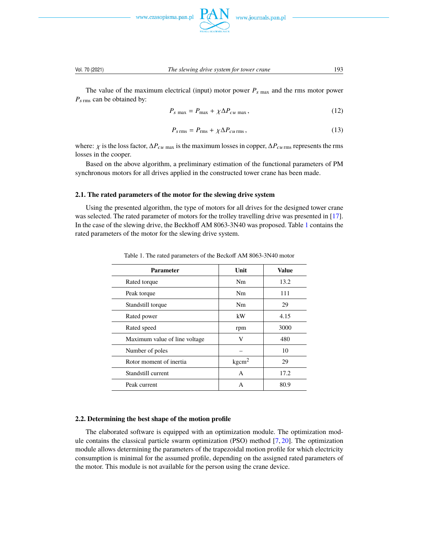



The value of the maximum electrical (input) motor power  $P_{s \text{ max}}$  and the rms motor power  $P_{s\, \text{rms}}$  can be obtained by:

$$
P_{s \text{ max}} = P_{\text{max}} + \chi \Delta P_{cu \text{ max}}, \qquad (12)
$$

$$
P_{s\,\rm rms} = P_{\rm rms} + \chi \Delta P_{\rm curms},\tag{13}
$$

where:  $\chi$  is the loss factor,  $\Delta P_{cu}$  max is the maximum losses in copper,  $\Delta P_{cu}$  rms represents the rms losses in the cooper.

Based on the above algorithm, a preliminary estimation of the functional parameters of PM synchronous motors for all drives applied in the constructed tower crane has been made.

## **2.1. The rated parameters of the motor for the slewing drive system**

<span id="page-4-0"></span>Using the presented algorithm, the type of motors for all drives for the designed tower crane was selected. The rated parameter of motors for the trolley travelling drive was presented in [\[17\]](#page-11-8). In the case of the slewing drive, the Beckhoff AM 8063-3N40 was proposed. Table [1](#page-4-0) contains the rated parameters of the motor for the slewing drive system.

| <b>Parameter</b>              | Unit              | <b>Value</b> |
|-------------------------------|-------------------|--------------|
| Rated torque                  | Nm                | 13.2         |
| Peak torque                   | Nm                | 111          |
| Standstill torque             | Nm                | 29           |
| Rated power                   | kW                | 4.15         |
| Rated speed                   | rpm               | 3000         |
| Maximum value of line voltage | V                 | 480          |
| Number of poles               |                   | 10           |
| Rotor moment of inertia       | kgcm <sup>2</sup> | 29           |
| Standstill current            | A                 | 17.2         |
| Peak current                  | A                 | 80.9         |

Table 1. The rated parameters of the Beckoff AM 8063-3N40 motor

# **2.2. Determining the best shape of the motion profile**

The elaborated software is equipped with an optimization module. The optimization module contains the classical particle swarm optimization (PSO) method [\[7,](#page-11-10) [20\]](#page-11-11). The optimization module allows determining the parameters of the trapezoidal motion profile for which electricity consumption is minimal for the assumed profile, depending on the assigned rated parameters of the motor. This module is not available for the person using the crane device.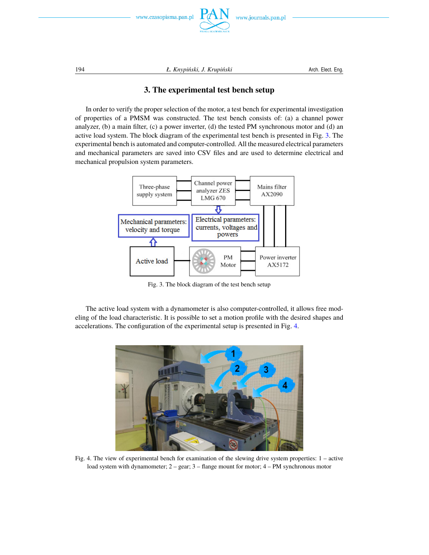

194 *L. Knypiński, J. Krupiński* Arch. Elect. Eng.

# **3. The experimental test bench setup**

In order to verify the proper selection of the motor, a test bench for experimental investigation of properties of a PMSM was constructed. The test bench consists of: (a) a channel power analyzer, (b) a main filter, (c) a power inverter, (d) the tested PM synchronous motor and (d) an active load system. The block diagram of the experimental test bench is presented in Fig. [3.](#page-5-1) The experimental bench is automated and computer-controlled. All the measured electrical parameters and mechanical parameters are saved into CSV files and are used to determine electrical and mechanical propulsion system parameters.

<span id="page-5-1"></span>

Fig. 3. The block diagram of the test bench setup

The active load system with a dynamometer is also computer-controlled, it allows free modeling of the load characteristic. It is possible to set a motion profile with the desired shapes and accelerations. The configuration of the experimental setup is presented in Fig. [4.](#page-5-2)

<span id="page-5-2"></span>

Fig. 4. The view of experimental bench for examination of the slewing drive system properties: 1 – active load system with dynamometer; 2 – gear; 3 – flange mount for motor; 4 – PM synchronous motor

<span id="page-5-0"></span>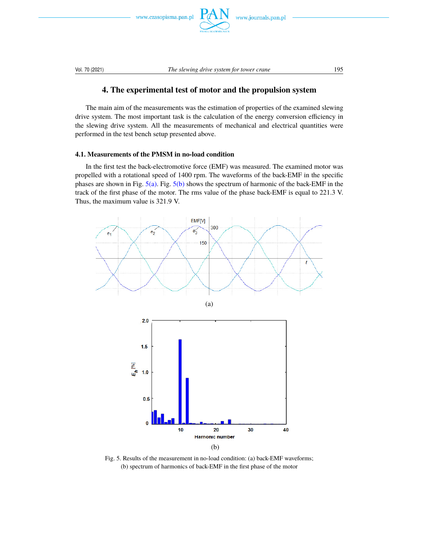

<span id="page-6-0"></span>

# **4. The experimental test of motor and the propulsion system**

The main aim of the measurements was the estimation of properties of the examined slewing drive system. The most important task is the calculation of the energy conversion efficiency in the slewing drive system. All the measurements of mechanical and electrical quantities were performed in the test bench setup presented above.

# **4.1. Measurements of the PMSM in no-load condition**

In the first test the back-electromotive force (EMF) was measured. The examined motor was propelled with a rotational speed of 1400 rpm. The waveforms of the back-EMF in the specific phases are shown in Fig. [5\(a\).](#page-6-1) Fig. [5\(b\)](#page-6-1) shows the spectrum of harmonic of the back-EMF in the track of the first phase of the motor. The rms value of the phase back-EMF is equal to 221.3 V. Thus, the maximum value is 321.9 V.

<span id="page-6-1"></span>

Fig. 5. Results of the measurement in no-load condition: (a) back-EMF waveforms; (b) spectrum of harmonics of back-EMF in the first phase of the motor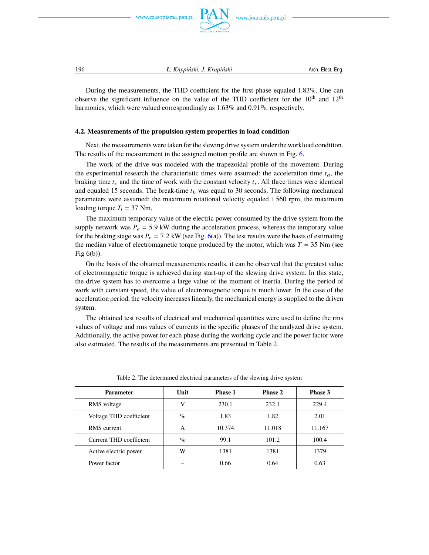

196 *Ł. Knypiński, J. Krupiński* **Arch. Elect. Eng.** *L. Knypiński, J. Krupiński* **<b>Arch. Elect. Eng.** 

During the measurements, the THD coefficient for the first phase equaled 1.83%. One can observe the significant influence on the value of the THD coefficient for the  $10<sup>th</sup>$  and  $12<sup>th</sup>$ harmonics, which were valued correspondingly as 1.63% and 0.91%, respectively.

## **4.2. Measurements of the propulsion system properties in load condition**

Next, the measurements were taken for the slewing drive system under the workload condition. The results of the measurement in the assigned motion profile are shown in Fig. [6.](#page-8-0)

The work of the drive was modeled with the trapezoidal profile of the movement. During the experimental research the characteristic times were assumed: the acceleration time  $t_a$ , the braking time  $t_c$  and the time of work with the constant velocity  $t_r$ . All three times were identical and equaled 15 seconds. The break-time  $t_b$  was equal to 30 seconds. The following mechanical parameters were assumed: the maximum rotational velocity equaled 1 560 rpm, the maximum loading torque  $T_l = 37$  Nm.

The maximum temporary value of the electric power consumed by the drive system from the supply network was  $P_e = 5.9$  kW during the acceleration process, whereas the temporary value for the braking stage was  $P_e = 7.2$  kW (see Fig. [6\(](#page-8-0)a)). The test results were the basis of estimating the median value of electromagnetic torque produced by the motor, which was  $T = 35$  Nm (see Fig 6(b)).

On the basis of the obtained measurements results, it can be observed that the greatest value of electromagnetic torque is achieved during start-up of the slewing drive system. In this state, the drive system has to overcome a large value of the moment of inertia. During the period of work with constant speed, the value of electromagnetic torque is much lower. In the case of the acceleration period, the velocity increases linearly, the mechanical energy is supplied to the driven system.

The obtained test results of electrical and mechanical quantities were used to define the rms values of voltage and rms values of currents in the specific phases of the analyzed drive system. Additionally, the active power for each phase during the working cycle and the power factor were also estimated. The results of the measurements are presented in Table [2.](#page-7-0)

<span id="page-7-0"></span>

| <b>Parameter</b>        | Unit | <b>Phase 1</b> | <b>Phase 2</b> | Phase 3 |
|-------------------------|------|----------------|----------------|---------|
| RMS voltage             | V    | 230.1          | 232.1          | 229.4   |
| Voltage THD coefficient | $\%$ | 1.83           | 1.82           | 2.01    |
| <b>RMS</b> current      | A    | 10.374         | 11.018         | 11.167  |
| Current THD coefficient | $\%$ | 99.1           | 101.2          | 100.4   |
| Active electric power   | W    | 1381           | 1381           | 1379    |
| Power factor            |      | 0.66           | 0.64           | 0.63    |

Table 2. The determined electrical parameters of the slewing drive system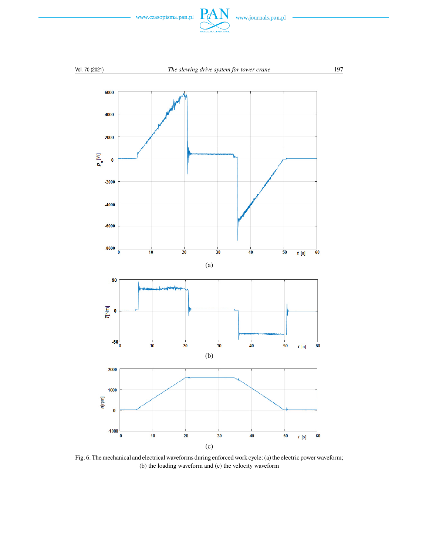

<span id="page-8-0"></span>

Fig. 6. The mechanical and electrical waveforms during enforced work cycle: (a) the electric power waveform; (b) the loading waveform and (c) the velocity waveform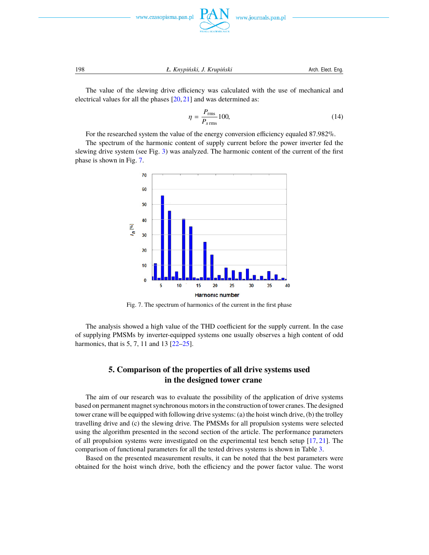

www.journals.pan.pl

198 *Ł. Knypiński, J. Krupiński* Arch. Elect. Eng.

The value of the slewing drive efficiency was calculated with the use of mechanical and electrical values for all the phases [\[20,](#page-11-11) [21\]](#page-12-1) and was determined as:

$$
\eta = \frac{P_{\rm rms}}{P_{s\,{\rm rms}}} 100,\tag{14}
$$

For the researched system the value of the energy conversion efficiency equaled 87.982%.

<span id="page-9-1"></span>The spectrum of the harmonic content of supply current before the power inverter fed the slewing drive system (see Fig. [3\)](#page-5-1) was analyzed. The harmonic content of the current of the first phase is shown in Fig. [7.](#page-9-1)



Fig. 7. The spectrum of harmonics of the current in the first phase

The analysis showed a high value of the THD coefficient for the supply current. In the case of supplying PMSMs by inverter-equipped systems one usually observes a high content of odd harmonics, that is 5, 7, 11 and 13 [\[22–](#page-12-2)[25\]](#page-12-3).

# **5. Comparison of the properties of all drive systems used in the designed tower crane**

<span id="page-9-0"></span>The aim of our research was to evaluate the possibility of the application of drive systems based on permanent magnet synchronous motors in the construction of tower cranes. The designed tower crane will be equipped with following drive systems: (a) the hoist winch drive, (b) the trolley travelling drive and (c) the slewing drive. The PMSMs for all propulsion systems were selected using the algorithm presented in the second section of the article. The performance parameters of all propulsion systems were investigated on the experimental test bench setup [\[17,](#page-11-8) [21\]](#page-12-1). The comparison of functional parameters for all the tested drives systems is shown in Table [3.](#page-10-3)

Based on the presented measurement results, it can be noted that the best parameters were obtained for the hoist winch drive, both the efficiency and the power factor value. The worst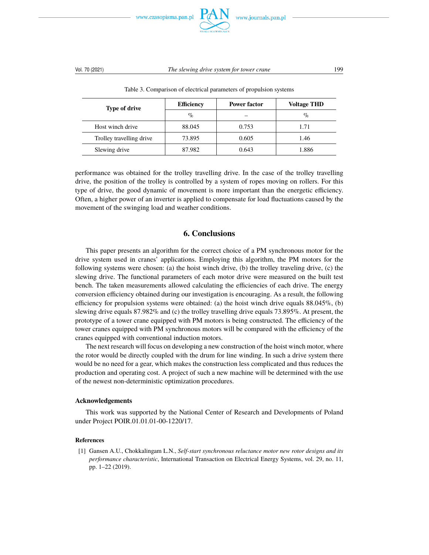

<span id="page-10-3"></span>

| <b>Type of drive</b>     | <b>Efficiency</b> | Power factor | <b>Voltage THD</b> |  |  |  |
|--------------------------|-------------------|--------------|--------------------|--|--|--|
|                          | $\%$              |              | $\%$               |  |  |  |
| Host winch drive         | 88.045            | 0.753        | 1.71               |  |  |  |
| Trolley travelling drive | 73.895            | 0.605        | 1.46               |  |  |  |
| Slewing drive            | 87.982            | 0.643        | 1.886              |  |  |  |

Table 3. Comparison of electrical parameters of propulsion systems

performance was obtained for the trolley travelling drive. In the case of the trolley travelling drive, the position of the trolley is controlled by a system of ropes moving on rollers. For this type of drive, the good dynamic of movement is more important than the energetic efficiency. Often, a higher power of an inverter is applied to compensate for load fluctuations caused by the movement of the swinging load and weather conditions.

# **6. Conclusions**

<span id="page-10-2"></span>This paper presents an algorithm for the correct choice of a PM synchronous motor for the drive system used in cranes' applications. Employing this algorithm, the PM motors for the following systems were chosen: (a) the hoist winch drive, (b) the trolley traveling drive, (c) the slewing drive. The functional parameters of each motor drive were measured on the built test bench. The taken measurements allowed calculating the efficiencies of each drive. The energy conversion efficiency obtained during our investigation is encouraging. As a result, the following efficiency for propulsion systems were obtained: (a) the hoist winch drive equals  $88.045\%$ , (b) slewing drive equals 87.982% and (c) the trolley travelling drive equals 73.895%. At present, the prototype of a tower crane equipped with PM motors is being constructed. The efficiency of the tower cranes equipped with PM synchronous motors will be compared with the efficiency of the cranes equipped with conventional induction motors.

The next research will focus on developing a new construction of the hoist winch motor, where the rotor would be directly coupled with the drum for line winding. In such a drive system there would be no need for a gear, which makes the construction less complicated and thus reduces the production and operating cost. A project of such a new machine will be determined with the use of the newest non-deterministic optimization procedures.

## **Acknowledgements**

This work was supported by the National Center of Research and Developments of Poland under Project POIR.01.01.01-00-1220/17.

## <span id="page-10-0"></span>**References**

<span id="page-10-1"></span>[1] Gansen A.U., Chokkalingam L.N., *Self-start synchronous reluctance motor new rotor designs and its performance characteristic*, International Transaction on Electrical Energy Systems, vol. 29, no. 11, pp. 1–22 (2019).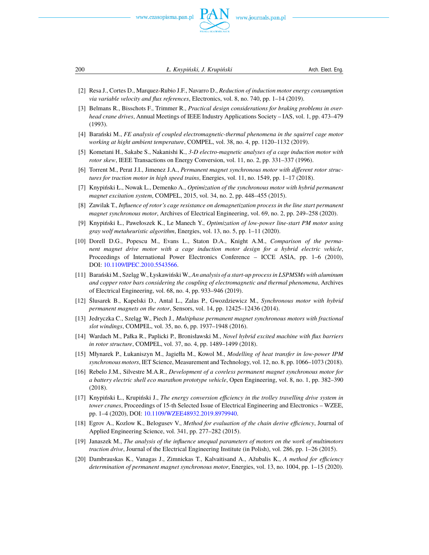

200 *Ł. Knypiński, J. Krupiński* Arch. Elect. Eng.

- <span id="page-11-0"></span>[2] Resa J., Cortes D., Marquez-Rubio J.F., Navarro D., *Reduction of induction motor energy consumption via variable velocity and flux references*, Electronics, vol. 8, no. 740, pp. 1–14 (2019).
- <span id="page-11-1"></span>[3] Belmans R., Bisschots F., Trimmer R., *Practical design considerations for braking problems in overhead crane drives*, Annual Meetings of IEEE Industry Applications Society – IAS, vol. 1, pp. 473–479 (1993).
- <span id="page-11-2"></span>[4] Barański M., *FE analysis of coupled electromagnetic-thermal phenomena in the squirrel cage motor working at hight ambient temperature*, COMPEL, vol. 38, no. 4, pp. 1120–1132 (2019).
- <span id="page-11-3"></span>[5] Kometani H., Sakabe S., Nakanishi K., *3-D electro-magnetic analyses of a cage induction motor with rotor skew*, IEEE Transactions on Energy Conversion, vol. 11, no. 2, pp. 331–337 (1996).
- <span id="page-11-4"></span>[6] Torrent M., Perat J.I., Jimenez J.A., *Permanent magnet synchronous motor with different rotor structures for traction motor in high speed trains*, Energies, vol. 11, no. 1549, pp. 1–17 (2018).
- <span id="page-11-10"></span>[7] Knypiński Ł., Nowak L., Demenko A., *Optimization of the synchronous motor with hybrid permanent magnet excitation system*, COMPEL, 2015, vol. 34, no. 2, pp. 448–455 (2015).
- [8] Zawilak T., *Influence of rotor's cage resistance on demagnetization process in the line start permanent magnet synchronous motor*, Archives of Electrical Engineering, vol. 69, no. 2, pp. 249–258 (2020).
- [9] Knypiński Ł., Pawełoszek K., Le Manech Y., *Optimization of low-power line-start PM motor using gray wolf metaheuristic algorithm*, Energies, vol. 13, no. 5, pp. 1–11 (2020).
- [10] Dorell D.G., Popescu M., Evans L., Staton D.A., Knight A.M., *Comparison of the permanent magnet drive motor with a cage induction motor design for a hybrid electric vehicle*, Proceedings of International Power Electronics Conference – ICCE ASIA, pp. 1–6 (2010), DOI: [10.1109/IPEC.2010.5543566.](https://doi.org/10.1109/IPEC.2010.5543566)
- [11] Barański M., Szeląg W., Łyskawiński W., An analysis of a start-up process in LSPMSMs with aluminum *and copper rotor bars considering the coupling of electromagnetic and thermal phenomena*, Archives of Electrical Engineering, vol. 68, no. 4, pp. 933–946 (2019).
- [12] Ślusarek B., Kapelski D., Antal L., Zalas P., Gwozdziewicz M., *Synchronous motor with hybrid permanent magnets on the rotor*, Sensors, vol. 14, pp. 12425–12436 (2014).
- [13] Jedryczka C., Szeląg W., Piech J., *Multiphase permanent magnet synchronous motors with fractional slot windings*, COMPEL, vol. 35, no. 6, pp. 1937–1948 (2016).
- [14] Wardach M., Pałka R., Paplicki P., Bronisławski M., *Novel hybrid excited machine with flux barriers in rotor structure*, COMPEL, vol. 37, no. 4, pp. 1489–1499 (2018).
- <span id="page-11-5"></span>[15] Młynarek P., Łukaniszyn M., Jagiełła M., Kowol M., *Modelling of heat transfer in low-power IPM synchronous motors*, IET Science, Measurement and Technology, vol. 12, no. 8, pp. 1066–1073 (2018).
- <span id="page-11-6"></span>[16] Rebelo J.M., Silvestre M.A.R., *Development of a coreless permanent magnet synchronous motor for a battery electric shell eco marathon prototype vehicle*, Open Engineering, vol. 8, no. 1, pp. 382–390 (2018).
- <span id="page-11-8"></span>[17] Knypiński Ł., Krupiński J., *The energy conversion efficiency in the trolley travelling drive system in tower cranes*, Proceedings of 15-th Selected Issue of Electrical Engineering and Electronics – WZEE, pp. 1–4 (2020), DOI: [10.1109/WZEE48932.2019.8979940.](https://doi.org/10.1109/WZEE48932.2019.8979940)
- <span id="page-11-7"></span>[18] Egrov A., Kozlow K., Belogusev V., *Method for evaluation of the chain derive efficiency*, Journal of Applied Engineering Science, vol. 341, pp. 277–282 (2015).
- <span id="page-11-9"></span>[19] Janaszek M., *The analysis of the influence unequal parameters of motors on the work of multimotors traction drive*, Journal of the Electrical Engineering Institute (in Polish), vol. 286, pp. 1–26 (2015).
- <span id="page-11-11"></span>[20] Dambrauskas K., Vanagas J., Zimnickas T., Kalvaitisand A., Ažubalis K., *A method for efficiency determination of permanent magnet synchronous motor*, Energies, vol. 13, no. 1004, pp. 1–15 (2020).